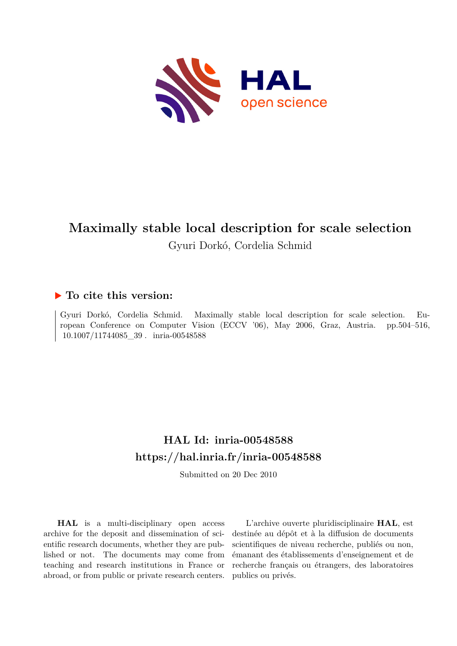

# **Maximally stable local description for scale selection** Gyuri Dorkó, Cordelia Schmid

# **To cite this version:**

Gyuri Dorkó, Cordelia Schmid. Maximally stable local description for scale selection. European Conference on Computer Vision (ECCV '06), May 2006, Graz, Austria. pp.504–516, 10.1007/11744085 39. inria-00548588

# **HAL Id: inria-00548588 <https://hal.inria.fr/inria-00548588>**

Submitted on 20 Dec 2010

**HAL** is a multi-disciplinary open access archive for the deposit and dissemination of scientific research documents, whether they are published or not. The documents may come from teaching and research institutions in France or abroad, or from public or private research centers.

L'archive ouverte pluridisciplinaire **HAL**, est destinée au dépôt et à la diffusion de documents scientifiques de niveau recherche, publiés ou non, émanant des établissements d'enseignement et de recherche français ou étrangers, des laboratoires publics ou privés.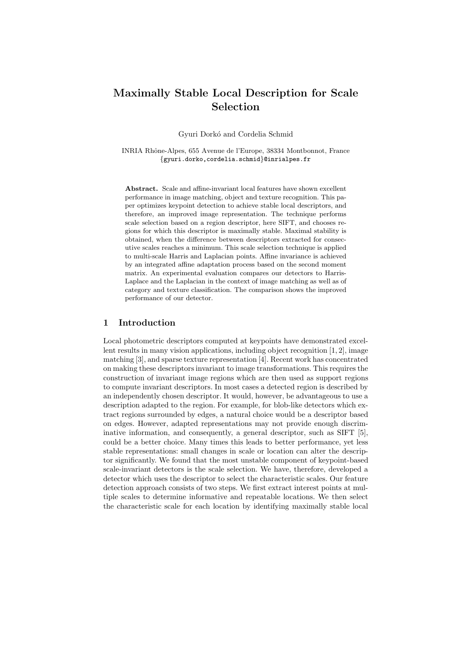# Maximally Stable Local Description for Scale Selection

Gyuri Dorkó and Cordelia Schmid

INRIA Rhˆone-Alpes, 655 Avenue de l'Europe, 38334 Montbonnot, France {gyuri.dorko,cordelia.schmid}@inrialpes.fr

Abstract. Scale and affine-invariant local features have shown excellent performance in image matching, object and texture recognition. This paper optimizes keypoint detection to achieve stable local descriptors, and therefore, an improved image representation. The technique performs scale selection based on a region descriptor, here SIFT, and chooses regions for which this descriptor is maximally stable. Maximal stability is obtained, when the difference between descriptors extracted for consecutive scales reaches a minimum. This scale selection technique is applied to multi-scale Harris and Laplacian points. Affine invariance is achieved by an integrated affine adaptation process based on the second moment matrix. An experimental evaluation compares our detectors to Harris-Laplace and the Laplacian in the context of image matching as well as of category and texture classification. The comparison shows the improved performance of our detector.

#### 1 Introduction

Local photometric descriptors computed at keypoints have demonstrated excellent results in many vision applications, including object recognition [1, 2], image matching [3], and sparse texture representation [4]. Recent work has concentrated on making these descriptors invariant to image transformations. This requires the construction of invariant image regions which are then used as support regions to compute invariant descriptors. In most cases a detected region is described by an independently chosen descriptor. It would, however, be advantageous to use a description adapted to the region. For example, for blob-like detectors which extract regions surrounded by edges, a natural choice would be a descriptor based on edges. However, adapted representations may not provide enough discriminative information, and consequently, a general descriptor, such as SIFT [5], could be a better choice. Many times this leads to better performance, yet less stable representations: small changes in scale or location can alter the descriptor significantly. We found that the most unstable component of keypoint-based scale-invariant detectors is the scale selection. We have, therefore, developed a detector which uses the descriptor to select the characteristic scales. Our feature detection approach consists of two steps. We first extract interest points at multiple scales to determine informative and repeatable locations. We then select the characteristic scale for each location by identifying maximally stable local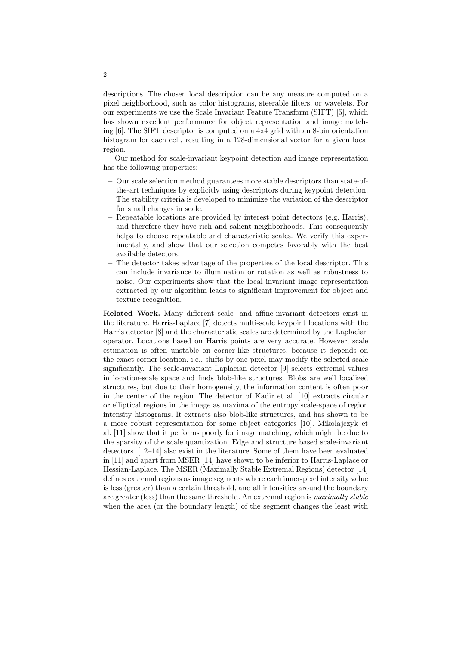descriptions. The chosen local description can be any measure computed on a pixel neighborhood, such as color histograms, steerable filters, or wavelets. For our experiments we use the Scale Invariant Feature Transform (SIFT) [5], which has shown excellent performance for object representation and image matching [6]. The SIFT descriptor is computed on a 4x4 grid with an 8-bin orientation histogram for each cell, resulting in a 128-dimensional vector for a given local region.

Our method for scale-invariant keypoint detection and image representation has the following properties:

- Our scale selection method guarantees more stable descriptors than state-ofthe-art techniques by explicitly using descriptors during keypoint detection. The stability criteria is developed to minimize the variation of the descriptor for small changes in scale.
- Repeatable locations are provided by interest point detectors (e.g. Harris), and therefore they have rich and salient neighborhoods. This consequently helps to choose repeatable and characteristic scales. We verify this experimentally, and show that our selection competes favorably with the best available detectors.
- The detector takes advantage of the properties of the local descriptor. This can include invariance to illumination or rotation as well as robustness to noise. Our experiments show that the local invariant image representation extracted by our algorithm leads to significant improvement for object and texture recognition.

Related Work. Many different scale- and affine-invariant detectors exist in the literature. Harris-Laplace [7] detects multi-scale keypoint locations with the Harris detector [8] and the characteristic scales are determined by the Laplacian operator. Locations based on Harris points are very accurate. However, scale estimation is often unstable on corner-like structures, because it depends on the exact corner location, i.e., shifts by one pixel may modify the selected scale significantly. The scale-invariant Laplacian detector [9] selects extremal values in location-scale space and finds blob-like structures. Blobs are well localized structures, but due to their homogeneity, the information content is often poor in the center of the region. The detector of Kadir et al. [10] extracts circular or elliptical regions in the image as maxima of the entropy scale-space of region intensity histograms. It extracts also blob-like structures, and has shown to be a more robust representation for some object categories [10]. Mikolajczyk et al. [11] show that it performs poorly for image matching, which might be due to the sparsity of the scale quantization. Edge and structure based scale-invariant detectors [12–14] also exist in the literature. Some of them have been evaluated in [11] and apart from MSER [14] have shown to be inferior to Harris-Laplace or Hessian-Laplace. The MSER (Maximally Stable Extremal Regions) detector [14] defines extremal regions as image segments where each inner-pixel intensity value is less (greater) than a certain threshold, and all intensities around the boundary are greater (less) than the same threshold. An extremal region is maximally stable when the area (or the boundary length) of the segment changes the least with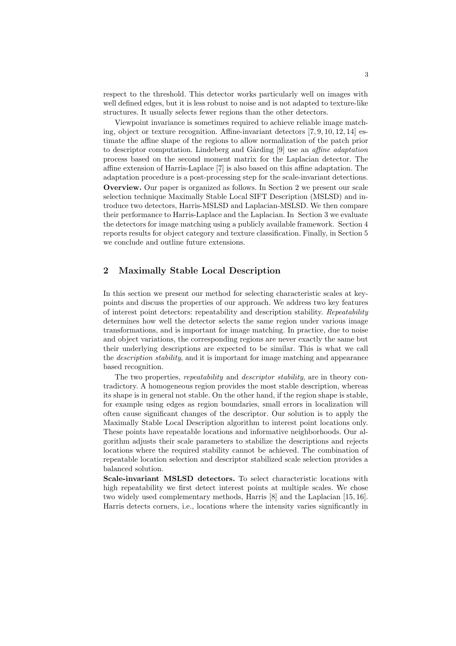respect to the threshold. This detector works particularly well on images with well defined edges, but it is less robust to noise and is not adapted to texture-like structures. It usually selects fewer regions than the other detectors.

Viewpoint invariance is sometimes required to achieve reliable image matching, object or texture recognition. Affine-invariant detectors [7, 9, 10, 12, 14] estimate the affine shape of the regions to allow normalization of the patch prior to descriptor computation. Lindeberg and Gårding [9] use an *affine adaptation* process based on the second moment matrix for the Laplacian detector. The affine extension of Harris-Laplace [7] is also based on this affine adaptation. The adaptation procedure is a post-processing step for the scale-invariant detections. Overview. Our paper is organized as follows. In Section 2 we present our scale selection technique Maximally Stable Local SIFT Description (MSLSD) and introduce two detectors, Harris-MSLSD and Laplacian-MSLSD. We then compare their performance to Harris-Laplace and the Laplacian. In Section 3 we evaluate the detectors for image matching using a publicly available framework. Section 4 reports results for object category and texture classification. Finally, in Section 5 we conclude and outline future extensions.

### 2 Maximally Stable Local Description

In this section we present our method for selecting characteristic scales at keypoints and discuss the properties of our approach. We address two key features of interest point detectors: repeatability and description stability. Repeatability determines how well the detector selects the same region under various image transformations, and is important for image matching. In practice, due to noise and object variations, the corresponding regions are never exactly the same but their underlying descriptions are expected to be similar. This is what we call the description stability, and it is important for image matching and appearance based recognition.

The two properties, *repeatability* and *descriptor stability*, are in theory contradictory. A homogeneous region provides the most stable description, whereas its shape is in general not stable. On the other hand, if the region shape is stable, for example using edges as region boundaries, small errors in localization will often cause significant changes of the descriptor. Our solution is to apply the Maximally Stable Local Description algorithm to interest point locations only. These points have repeatable locations and informative neighborhoods. Our algorithm adjusts their scale parameters to stabilize the descriptions and rejects locations where the required stability cannot be achieved. The combination of repeatable location selection and descriptor stabilized scale selection provides a balanced solution.

Scale-invariant MSLSD detectors. To select characteristic locations with high repeatability we first detect interest points at multiple scales. We chose two widely used complementary methods, Harris [8] and the Laplacian [15, 16]. Harris detects corners, i.e., locations where the intensity varies significantly in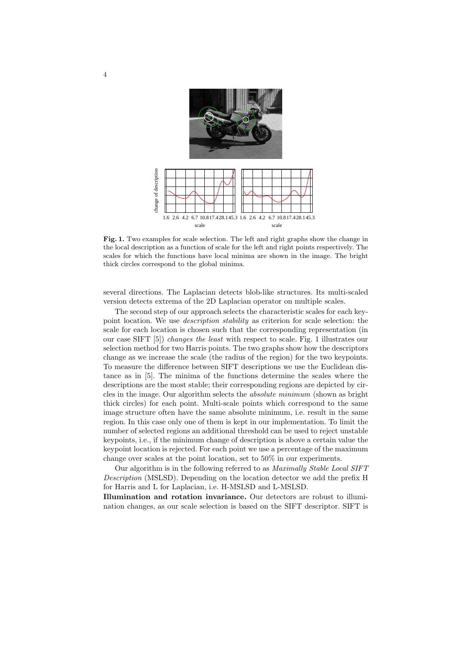

Fig. 1. Two examples for scale selection. The left and right graphs show the change in the local description as a function of scale for the left and right points respectively. The scales for which the functions have local minima are shown in the image. The bright thick circles correspond to the global minima.

several directions. The Laplacian detects blob-like structures. Its multi-scaled version detects extrema of the 2D Laplacian operator on multiple scales.

The second step of our approach selects the characteristic scales for each keypoint location. We use description stability as criterion for scale selection: the scale for each location is chosen such that the corresponding representation (in our case SIFT [5]) changes the least with respect to scale. Fig. 1 illustrates our selection method for two Harris points. The two graphs show how the descriptors change as we increase the scale (the radius of the region) for the two keypoints. To measure the difference between SIFT descriptions we use the Euclidean distance as in [5]. The minima of the functions determine the scales where the descriptions are the most stable; their corresponding regions are depicted by circles in the image. Our algorithm selects the absolute minimum (shown as bright thick circles) for each point. Multi-scale points which correspond to the same image structure often have the same absolute minimum, i.e. result in the same region. In this case only one of them is kept in our implementation. To limit the number of selected regions an additional threshold can be used to reject unstable keypoints, i.e., if the minimum change of description is above a certain value the keypoint location is rejected. For each point we use a percentage of the maximum change over scales at the point location, set to 50% in our experiments.

Our algorithm is in the following referred to as Maximally Stable Local SIFT Description (MSLSD). Depending on the location detector we add the prefix H for Harris and L for Laplacian, i.e. H-MSLSD and L-MSLSD.

Illumination and rotation invariance. Our detectors are robust to illumination changes, as our scale selection is based on the SIFT descriptor. SIFT is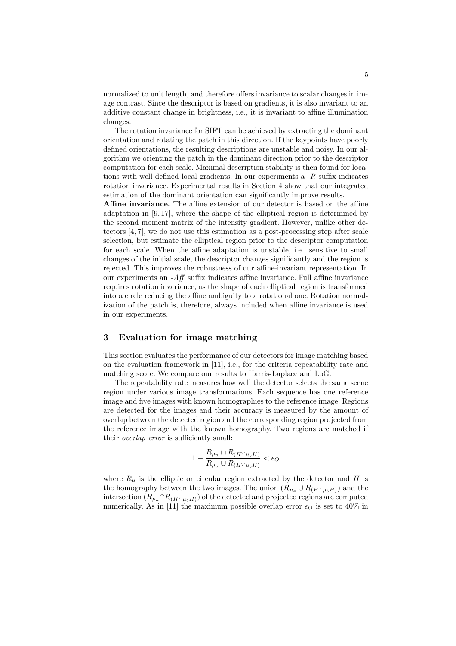normalized to unit length, and therefore offers invariance to scalar changes in image contrast. Since the descriptor is based on gradients, it is also invariant to an additive constant change in brightness, i.e., it is invariant to affine illumination changes.

The rotation invariance for SIFT can be achieved by extracting the dominant orientation and rotating the patch in this direction. If the keypoints have poorly defined orientations, the resulting descriptions are unstable and noisy. In our algorithm we orienting the patch in the dominant direction prior to the descriptor computation for each scale. Maximal description stability is then found for locations with well defined local gradients. In our experiments a  $-R$  suffix indicates rotation invariance. Experimental results in Section 4 show that our integrated estimation of the dominant orientation can significantly improve results.

Affine invariance. The affine extension of our detector is based on the affine adaptation in [9, 17], where the shape of the elliptical region is determined by the second moment matrix of the intensity gradient. However, unlike other detectors [4, 7], we do not use this estimation as a post-processing step after scale selection, but estimate the elliptical region prior to the descriptor computation for each scale. When the affine adaptation is unstable, i.e., sensitive to small changes of the initial scale, the descriptor changes significantly and the region is rejected. This improves the robustness of our affine-invariant representation. In our experiments an  $-Aff$  suffix indicates affine invariance. Full affine invariance requires rotation invariance, as the shape of each elliptical region is transformed into a circle reducing the affine ambiguity to a rotational one. Rotation normalization of the patch is, therefore, always included when affine invariance is used in our experiments.

### 3 Evaluation for image matching

This section evaluates the performance of our detectors for image matching based on the evaluation framework in [11], i.e., for the criteria repeatability rate and matching score. We compare our results to Harris-Laplace and LoG.

The repeatability rate measures how well the detector selects the same scene region under various image transformations. Each sequence has one reference image and five images with known homographies to the reference image. Regions are detected for the images and their accuracy is measured by the amount of overlap between the detected region and the corresponding region projected from the reference image with the known homography. Two regions are matched if their *overlap error* is sufficiently small:

$$
1 - \frac{R_{\mu_a} \cap R_{(H^T \mu_b H)}}{R_{\mu_a} \cup R_{(H^T \mu_b H)}} < \epsilon_O
$$

where  $R_u$  is the elliptic or circular region extracted by the detector and H is the homography between the two images. The union  $(R_{\mu_a} \cup R_{(H^T \mu_b H)})$  and the intersection  $(R_{\mu_a} \cap R_{(H^T\mu_bH)})$  of the detected and projected regions are computed numerically. As in [11] the maximum possible overlap error  $\epsilon_O$  is set to 40% in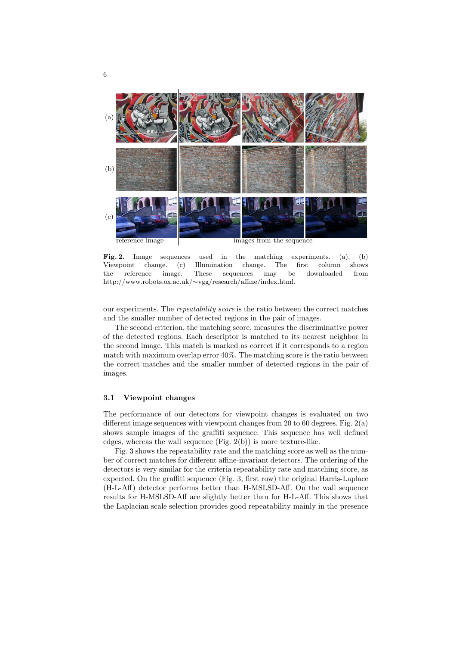

Fig. 2. Image sequences used in the matching experiments. (a), (b) Viewpoint change. (c) Illumination change. The first column shows the reference image. These sequences may be downloaded from http://www.robots.ox.ac.uk/∼vgg/research/affine/index.html.

our experiments. The repeatability score is the ratio between the correct matches and the smaller number of detected regions in the pair of images.

The second criterion, the matching score, measures the discriminative power of the detected regions. Each descriptor is matched to its nearest neighbor in the second image. This match is marked as correct if it corresponds to a region match with maximum overlap error 40%. The matching score is the ratio between the correct matches and the smaller number of detected regions in the pair of images.

#### 3.1 Viewpoint changes

The performance of our detectors for viewpoint changes is evaluated on two different image sequences with viewpoint changes from 20 to 60 degrees. Fig. 2(a) shows sample images of the graffiti sequence. This sequence has well defined edges, whereas the wall sequence (Fig. 2(b)) is more texture-like.

Fig. 3 shows the repeatability rate and the matching score as well as the number of correct matches for different affine-invariant detectors. The ordering of the detectors is very similar for the criteria repeatability rate and matching score, as expected. On the graffiti sequence (Fig. 3, first row) the original Harris-Laplace (H-L-Aff) detector performs better than H-MSLSD-Aff. On the wall sequence results for H-MSLSD-Aff are slightly better than for H-L-Aff. This shows that the Laplacian scale selection provides good repeatability mainly in the presence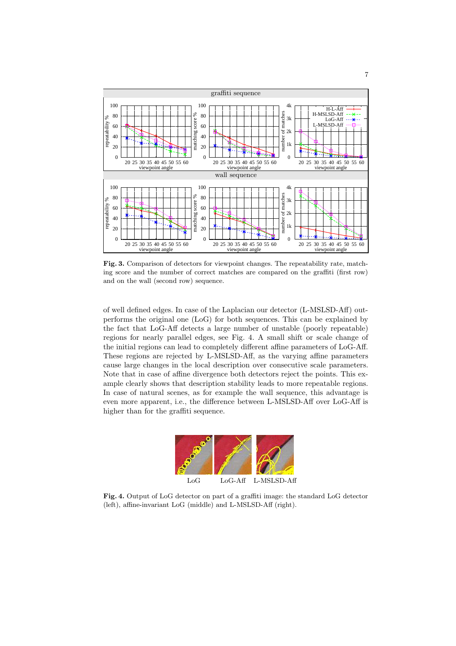

Fig. 3. Comparison of detectors for viewpoint changes. The repeatability rate, matching score and the number of correct matches are compared on the graffiti (first row) and on the wall (second row) sequence.

of well defined edges. In case of the Laplacian our detector (L-MSLSD-Aff) outperforms the original one (LoG) for both sequences. This can be explained by the fact that LoG-Aff detects a large number of unstable (poorly repeatable) regions for nearly parallel edges, see Fig. 4. A small shift or scale change of the initial regions can lead to completely different affine parameters of LoG-Aff. These regions are rejected by L-MSLSD-Aff, as the varying affine parameters cause large changes in the local description over consecutive scale parameters. Note that in case of affine divergence both detectors reject the points. This example clearly shows that description stability leads to more repeatable regions. In case of natural scenes, as for example the wall sequence, this advantage is even more apparent, i.e., the difference between L-MSLSD-Aff over LoG-Aff is higher than for the graffiti sequence.



Fig. 4. Output of LoG detector on part of a graffiti image: the standard LoG detector (left), affine-invariant LoG (middle) and L-MSLSD-Aff (right).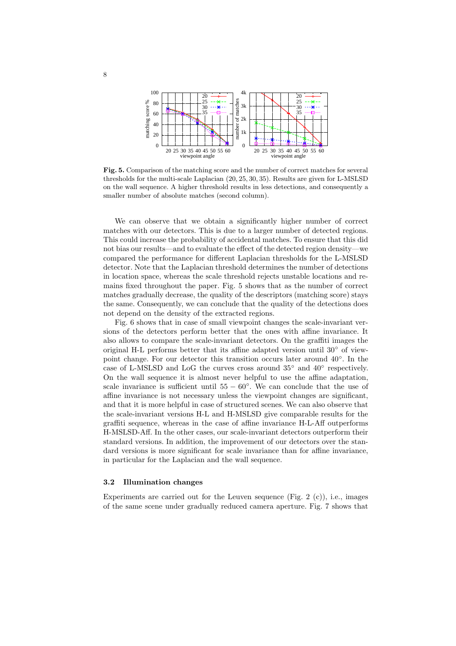

Fig. 5. Comparison of the matching score and the number of correct matches for several thresholds for the multi-scale Laplacian (20, 25, 30, 35). Results are given for L-MSLSD on the wall sequence. A higher threshold results in less detections, and consequently a smaller number of absolute matches (second column).

We can observe that we obtain a significantly higher number of correct matches with our detectors. This is due to a larger number of detected regions. This could increase the probability of accidental matches. To ensure that this did not bias our results—and to evaluate the effect of the detected region density—we compared the performance for different Laplacian thresholds for the L-MSLSD detector. Note that the Laplacian threshold determines the number of detections in location space, whereas the scale threshold rejects unstable locations and remains fixed throughout the paper. Fig. 5 shows that as the number of correct matches gradually decrease, the quality of the descriptors (matching score) stays the same. Consequently, we can conclude that the quality of the detections does not depend on the density of the extracted regions.

Fig. 6 shows that in case of small viewpoint changes the scale-invariant versions of the detectors perform better that the ones with affine invariance. It also allows to compare the scale-invariant detectors. On the graffiti images the original H-L performs better that its affine adapted version until 30◦ of viewpoint change. For our detector this transition occurs later around 40°. In the case of L-MSLSD and LoG the curves cross around 35◦ and 40◦ respectively. On the wall sequence it is almost never helpful to use the affine adaptation, scale invariance is sufficient until  $55 - 60°$ . We can conclude that the use of affine invariance is not necessary unless the viewpoint changes are significant, and that it is more helpful in case of structured scenes. We can also observe that the scale-invariant versions H-L and H-MSLSD give comparable results for the graffiti sequence, whereas in the case of affine invariance H-L-Aff outperforms H-MSLSD-Aff. In the other cases, our scale-invariant detectors outperform their standard versions. In addition, the improvement of our detectors over the standard versions is more significant for scale invariance than for affine invariance, in particular for the Laplacian and the wall sequence.

#### 3.2 Illumination changes

Experiments are carried out for the Leuven sequence (Fig.  $2 \text{ (c)}$ ), i.e., images of the same scene under gradually reduced camera aperture. Fig. 7 shows that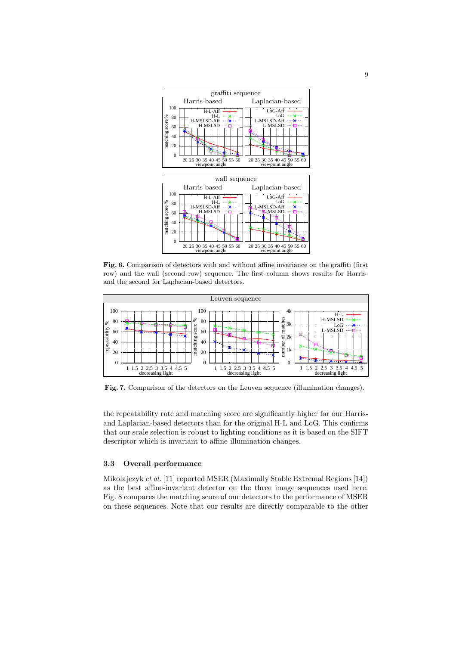

Fig. 6. Comparison of detectors with and without affine invariance on the graffiti (first row) and the wall (second row) sequence. The first column shows results for Harrisand the second for Laplacian-based detectors.



Fig. 7. Comparison of the detectors on the Leuven sequence (illumination changes).

the repeatability rate and matching score are significantly higher for our Harrisand Laplacian-based detectors than for the original H-L and LoG. This confirms that our scale selection is robust to lighting conditions as it is based on the SIFT descriptor which is invariant to affine illumination changes.

#### 3.3 Overall performance

Mikolajczyk et al. [11] reported MSER (Maximally Stable Extremal Regions [14]) as the best affine-invariant detector on the three image sequences used here. Fig. 8 compares the matching score of our detectors to the performance of MSER on these sequences. Note that our results are directly comparable to the other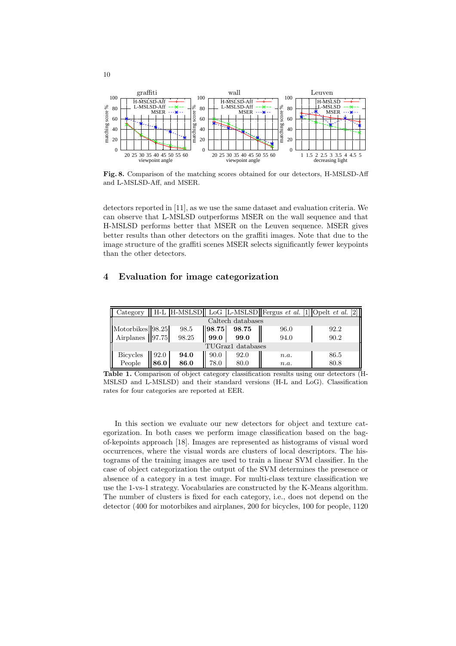

Fig. 8. Comparison of the matching scores obtained for our detectors, H-MSLSD-Aff and L-MSLSD-Aff, and MSER.

detectors reported in [11], as we use the same dataset and evaluation criteria. We can observe that L-MSLSD outperforms MSER on the wall sequence and that H-MSLSD performs better that MSER on the Leuven sequence. MSER gives better results than other detectors on the graffiti images. Note that due to the image structure of the graffiti scenes MSER selects significantly fewer keypoints than the other detectors.

## 4 Evaluation for image categorization

| Category                      |      |       |       |       | H-L H-MSLSD LoG L-MSLSD Fergus <i>et al.</i> [1] Opelt <i>et al.</i> [2] |      |  |  |
|-------------------------------|------|-------|-------|-------|--------------------------------------------------------------------------|------|--|--|
| Caltech databases             |      |       |       |       |                                                                          |      |  |  |
| Motorbikes 98.25              |      | 98.5  | 98.75 | 98.75 | 96.0                                                                     | 92.2 |  |  |
| Airplanes 97.75               |      | 98.25 | 99.0  | 99.0  | 94.0                                                                     | 90.2 |  |  |
| TUGraz <sub>1</sub> databases |      |       |       |       |                                                                          |      |  |  |
| Bicycles<br>People            | 92.0 | 94.0  | 90.0  | 92.0  | n.a.                                                                     | 86.5 |  |  |
|                               | 86.0 | 86.0  | 78.0  | 80.0  | n.a.                                                                     | 80.8 |  |  |

Table 1. Comparison of object category classification results using our detectors (H-MSLSD and L-MSLSD) and their standard versions (H-L and LoG). Classification rates for four categories are reported at EER.

In this section we evaluate our new detectors for object and texture categorization. In both cases we perform image classification based on the bagof-kepoints approach [18]. Images are represented as histograms of visual word occurrences, where the visual words are clusters of local descriptors. The histograms of the training images are used to train a linear SVM classifier. In the case of object categorization the output of the SVM determines the presence or absence of a category in a test image. For multi-class texture classification we use the 1-vs-1 strategy. Vocabularies are constructed by the K-Means algorithm. The number of clusters is fixed for each category, i.e., does not depend on the detector (400 for motorbikes and airplanes, 200 for bicycles, 100 for people, 1120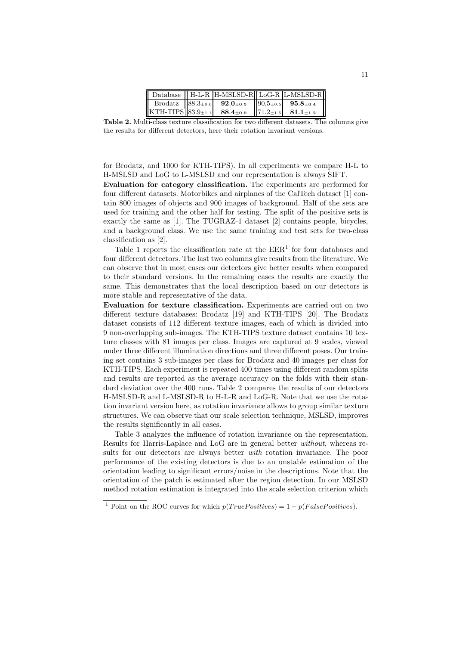|                                                                   | Database $  $ H-L-R $  $ H-MSLSD-R $  $ LoG-R $ $ L-MSLSD-R $  $                             |  |  |
|-------------------------------------------------------------------|----------------------------------------------------------------------------------------------|--|--|
|                                                                   | $\overline{\text{Brodatz}}$ 88.3±0.6 92.0±0.5 $ 90.5\text{\textless}\,0.5\text{ m}$ 95.8±0.4 |  |  |
| $\vert$ KTH-TIPS $\vert$ 83.9 $\scriptscriptstyle{\pm 1.1} \vert$ | 88.4 $\pm$ 0.9   71.2 $\pm$ 1.5   81.1 $\pm$ 1.2                                             |  |  |
|                                                                   |                                                                                              |  |  |

Table 2. Multi-class texture classification for two different datasets. The columns give the results for different detectors, here their rotation invariant versions.

for Brodatz, and 1000 for KTH-TIPS). In all experiments we compare H-L to H-MSLSD and LoG to L-MSLSD and our representation is always SIFT.

Evaluation for category classification. The experiments are performed for four different datasets. Motorbikes and airplanes of the CalTech dataset [1] contain 800 images of objects and 900 images of background. Half of the sets are used for training and the other half for testing. The split of the positive sets is exactly the same as [1]. The TUGRAZ-1 dataset [2] contains people, bicycles, and a background class. We use the same training and test sets for two-class classification as [2].

Table 1 reports the classification rate at the  $EER<sup>1</sup>$  for four databases and four different detectors. The last two columns give results from the literature. We can observe that in most cases our detectors give better results when compared to their standard versions. In the remaining cases the results are exactly the same. This demonstrates that the local description based on our detectors is more stable and representative of the data.

Evaluation for texture classification. Experiments are carried out on two different texture databases: Brodatz [19] and KTH-TIPS [20]. The Brodatz dataset consists of 112 different texture images, each of which is divided into 9 non-overlapping sub-images. The KTH-TIPS texture dataset contains 10 texture classes with 81 images per class. Images are captured at 9 scales, viewed under three different illumination directions and three different poses. Our training set contains 3 sub-images per class for Brodatz and 40 images per class for KTH-TIPS. Each experiment is repeated 400 times using different random splits and results are reported as the average accuracy on the folds with their standard deviation over the 400 runs. Table 2 compares the results of our detectors H-MSLSD-R and L-MSLSD-R to H-L-R and LoG-R. Note that we use the rotation invariant version here, as rotation invariance allows to group similar texture structures. We can observe that our scale selection technique, MSLSD, improves the results significantly in all cases.

Table 3 analyzes the influence of rotation invariance on the representation. Results for Harris-Laplace and LoG are in general better without, whereas results for our detectors are always better with rotation invariance. The poor performance of the existing detectors is due to an unstable estimation of the orientation leading to significant errors/noise in the descriptions. Note that the orientation of the patch is estimated after the region detection. In our MSLSD method rotation estimation is integrated into the scale selection criterion which

<sup>&</sup>lt;sup>1</sup> Point on the ROC curves for which  $p(TruePositives) = 1 - p(FalsePositives)$ .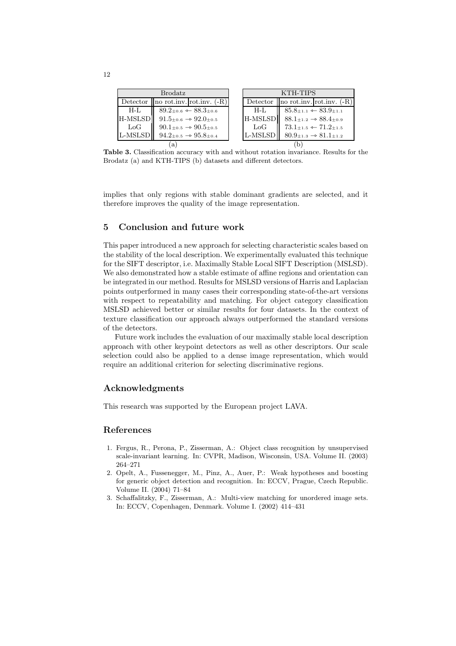| <b>Brodatz</b> |  |                                                                      |  | KTH-TIPS |                                             |                                             |
|----------------|--|----------------------------------------------------------------------|--|----------|---------------------------------------------|---------------------------------------------|
|                |  | Detector $\ \text{no rot.inv. rot.inv.}(-R)\ $                       |  |          |                                             | Detector   no rot.inv. $rot.$ inv. $(-R)$   |
| H-L            |  | $89.2{\scriptstyle \pm 0.6}$ $\leftarrow 88.3{\scriptstyle \pm 0.6}$ |  | $H-I$    |                                             | $85.8_{\pm 1.1} \leftarrow 83.9_{\pm 1.1}$  |
| <b>H-MSLSD</b> |  | $91.5_{\pm 0.6} \rightarrow 92.0_{\pm 0.5}$                          |  | H-MSLSD  | $88.1_{\pm 1.2} \rightarrow 88.4_{\pm 0.9}$ |                                             |
| LoG            |  | $90.1_{\pm 0.5} \rightarrow 90.5_{\pm 0.5}$                          |  | LoG      |                                             | $73.1_{\pm 1.5} \leftarrow 71.2_{\pm 1.5}$  |
| L-MSLSI        |  | $94.2_{\pm 0.5} \rightarrow 95.8_{\pm 0.4}$                          |  | L-MSLSI  |                                             | $80.9_{\pm 1.3} \rightarrow 81.1_{\pm 1.2}$ |
| a l            |  |                                                                      |  |          |                                             |                                             |

Table 3. Classification accuracy with and without rotation invariance. Results for the Brodatz (a) and KTH-TIPS (b) datasets and different detectors.

implies that only regions with stable dominant gradients are selected, and it therefore improves the quality of the image representation.

## 5 Conclusion and future work

This paper introduced a new approach for selecting characteristic scales based on the stability of the local description. We experimentally evaluated this technique for the SIFT descriptor, i.e. Maximally Stable Local SIFT Description (MSLSD). We also demonstrated how a stable estimate of affine regions and orientation can be integrated in our method. Results for MSLSD versions of Harris and Laplacian points outperformed in many cases their corresponding state-of-the-art versions with respect to repeatability and matching. For object category classification MSLSD achieved better or similar results for four datasets. In the context of texture classification our approach always outperformed the standard versions of the detectors.

Future work includes the evaluation of our maximally stable local description approach with other keypoint detectors as well as other descriptors. Our scale selection could also be applied to a dense image representation, which would require an additional criterion for selecting discriminative regions.

#### Acknowledgments

This research was supported by the European project LAVA.

#### References

- 1. Fergus, R., Perona, P., Zisserman, A.: Object class recognition by unsupervised scale-invariant learning. In: CVPR, Madison, Wisconsin, USA. Volume II. (2003) 264–271
- 2. Opelt, A., Fussenegger, M., Pinz, A., Auer, P.: Weak hypotheses and boosting for generic object detection and recognition. In: ECCV, Prague, Czech Republic. Volume II. (2004) 71–84
- 3. Schaffalitzky, F., Zisserman, A.: Multi-view matching for unordered image sets. In: ECCV, Copenhagen, Denmark. Volume I. (2002) 414–431